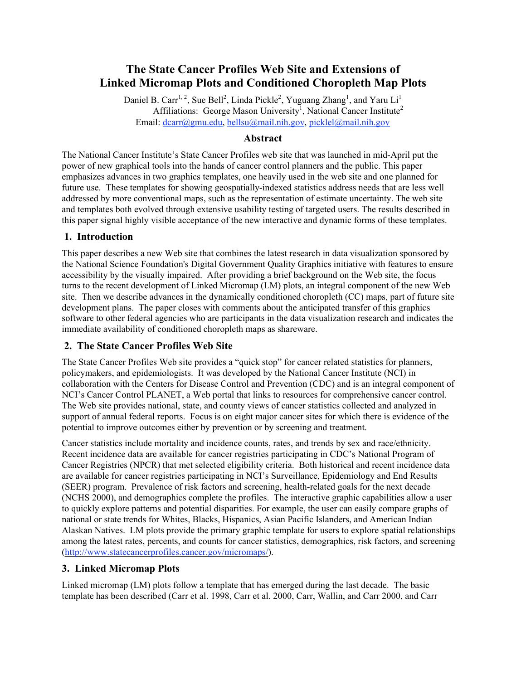# **The State Cancer Profiles Web Site and Extensions of Linked Micromap Plots and Conditioned Choropleth Map Plots**

Daniel B. Carr<sup>1, 2</sup>, Sue Bell<sup>2</sup>, Linda Pickle<sup>2</sup>, Yuguang Zhang<sup>1</sup>, and Yaru Li<sup>1</sup> Affiliations: George Mason University<sup>1</sup>, National Cancer Institute<sup>2</sup> Email: dcarr@gmu.edu, bellsu@mail.nih.gov, picklel@mail.nih.gov

#### **Abstract**

The National Cancer Institute's State Cancer Profiles web site that was launched in mid-April put the power of new graphical tools into the hands of cancer control planners and the public. This paper emphasizes advances in two graphics templates, one heavily used in the web site and one planned for future use. These templates for showing geospatially-indexed statistics address needs that are less well addressed by more conventional maps, such as the representation of estimate uncertainty. The web site and templates both evolved through extensive usability testing of targeted users. The results described in this paper signal highly visible acceptance of the new interactive and dynamic forms of these templates.

#### **1. Introduction**

This paper describes a new Web site that combines the latest research in data visualization sponsored by the National Science Foundation's Digital Government Quality Graphics initiative with features to ensure accessibility by the visually impaired. After providing a brief background on the Web site, the focus turns to the recent development of Linked Micromap (LM) plots, an integral component of the new Web site. Then we describe advances in the dynamically conditioned choropleth (CC) maps, part of future site development plans. The paper closes with comments about the anticipated transfer of this graphics software to other federal agencies who are participants in the data visualization research and indicates the immediate availability of conditioned choropleth maps as shareware.

#### **2. The State Cancer Profiles Web Site**

The State Cancer Profiles Web site provides a "quick stop" for cancer related statistics for planners, policymakers, and epidemiologists. It was developed by the National Cancer Institute (NCI) in collaboration with the Centers for Disease Control and Prevention (CDC) and is an integral component of NCI's Cancer Control PLANET, a Web portal that links to resources for comprehensive cancer control. The Web site provides national, state, and county views of cancer statistics collected and analyzed in support of annual federal reports. Focus is on eight major cancer sites for which there is evidence of the potential to improve outcomes either by prevention or by screening and treatment.

Cancer statistics include mortality and incidence counts, rates, and trends by sex and race/ethnicity. Recent incidence data are available for cancer registries participating in CDC's National Program of Cancer Registries (NPCR) that met selected eligibility criteria. Both historical and recent incidence data are available for cancer registries participating in NCI's Surveillance, Epidemiology and End Results (SEER) program. Prevalence of risk factors and screening, health-related goals for the next decade (NCHS 2000), and demographics complete the profiles. The interactive graphic capabilities allow a user to quickly explore patterns and potential disparities. For example, the user can easily compare graphs of national or state trends for Whites, Blacks, Hispanics, Asian Pacific Islanders, and American Indian Alaskan Natives. LM plots provide the primary graphic template for users to explore spatial relationships among the latest rates, percents, and counts for cancer statistics, demographics, risk factors, and screening (http://www.statecancerprofiles.cancer.gov/micromaps/).

#### **3. Linked Micromap Plots**

Linked micromap (LM) plots follow a template that has emerged during the last decade. The basic template has been described (Carr et al. 1998, Carr et al. 2000, Carr, Wallin, and Carr 2000, and Carr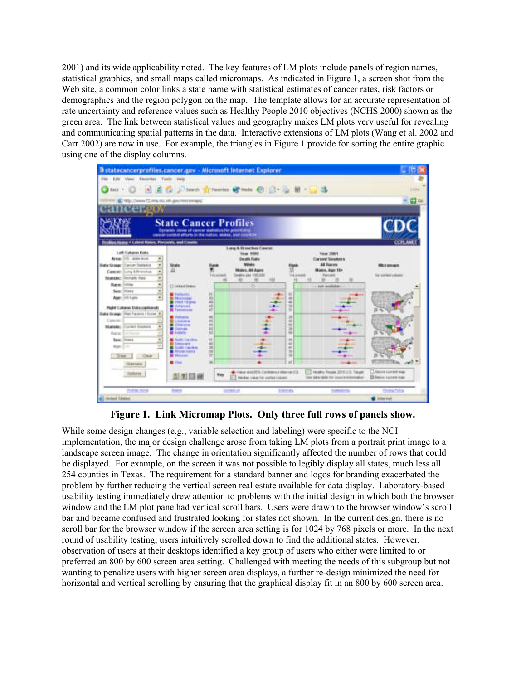2001) and its wide applicability noted. The key features of LM plots include panels of region names, statistical graphics, and small maps called micromaps. As indicated in Figure 1, a screen shot from the Web site, a common color links a state name with statistical estimates of cancer rates, risk factors or demographics and the region polygon on the map. The template allows for an accurate representation of rate uncertainty and reference values such as Healthy People 2010 objectives (NCHS 2000) shown as the green area. The link between statistical values and geography makes LM plots very useful for revealing and communicating spatial patterns in the data. Interactive extensions of LM plots (Wang et al. 2002 and Carr 2002) are now in use. For example, the triangles in Figure 1 provide for sorting the entire graphic using one of the display columns.



**Figure 1. Link Micromap Plots. Only three full rows of panels show.**

While some design changes (e.g., variable selection and labeling) were specific to the NCI implementation, the major design challenge arose from taking LM plots from a portrait print image to a landscape screen image. The change in orientation significantly affected the number of rows that could be displayed. For example, on the screen it was not possible to legibly display all states, much less all 254 counties in Texas. The requirement for a standard banner and logos for branding exacerbated the problem by further reducing the vertical screen real estate available for data display. Laboratory-based usability testing immediately drew attention to problems with the initial design in which both the browser window and the LM plot pane had vertical scroll bars. Users were drawn to the browser window's scroll bar and became confused and frustrated looking for states not shown. In the current design, there is no scroll bar for the browser window if the screen area setting is for 1024 by 768 pixels or more. In the next round of usability testing, users intuitively scrolled down to find the additional states. However, observation of users at their desktops identified a key group of users who either were limited to or preferred an 800 by 600 screen area setting. Challenged with meeting the needs of this subgroup but not wanting to penalize users with higher screen area displays, a further re-design minimized the need for horizontal and vertical scrolling by ensuring that the graphical display fit in an 800 by 600 screen area.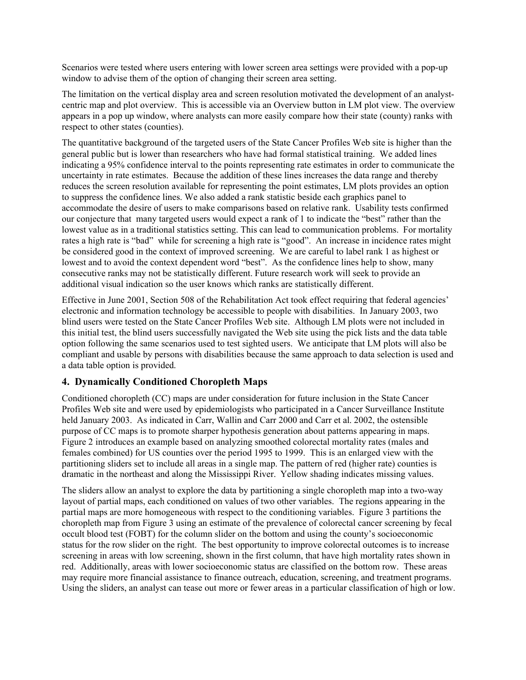Scenarios were tested where users entering with lower screen area settings were provided with a pop-up window to advise them of the option of changing their screen area setting.

The limitation on the vertical display area and screen resolution motivated the development of an analystcentric map and plot overview. This is accessible via an Overview button in LM plot view. The overview appears in a pop up window, where analysts can more easily compare how their state (county) ranks with respect to other states (counties).

The quantitative background of the targeted users of the State Cancer Profiles Web site is higher than the general public but is lower than researchers who have had formal statistical training. We added lines indicating a 95% confidence interval to the points representing rate estimates in order to communicate the uncertainty in rate estimates. Because the addition of these lines increases the data range and thereby reduces the screen resolution available for representing the point estimates, LM plots provides an option to suppress the confidence lines. We also added a rank statistic beside each graphics panel to accommodate the desire of users to make comparisons based on relative rank. Usability tests confirmed our conjecture that many targeted users would expect a rank of 1 to indicate the "best" rather than the lowest value as in a traditional statistics setting. This can lead to communication problems. For mortality rates a high rate is "bad" while for screening a high rate is "good". An increase in incidence rates might be considered good in the context of improved screening. We are careful to label rank 1 as highest or lowest and to avoid the context dependent word "best". As the confidence lines help to show, many consecutive ranks may not be statistically different. Future research work will seek to provide an additional visual indication so the user knows which ranks are statistically different.

Effective in June 2001, Section 508 of the Rehabilitation Act took effect requiring that federal agencies' electronic and information technology be accessible to people with disabilities. In January 2003, two blind users were tested on the State Cancer Profiles Web site. Although LM plots were not included in this initial test, the blind users successfully navigated the Web site using the pick lists and the data table option following the same scenarios used to test sighted users. We anticipate that LM plots will also be compliant and usable by persons with disabilities because the same approach to data selection is used and a data table option is provided.

#### **4. Dynamically Conditioned Choropleth Maps**

Conditioned choropleth (CC) maps are under consideration for future inclusion in the State Cancer Profiles Web site and were used by epidemiologists who participated in a Cancer Surveillance Institute held January 2003. As indicated in Carr, Wallin and Carr 2000 and Carr et al. 2002, the ostensible purpose of CC maps is to promote sharper hypothesis generation about patterns appearing in maps. Figure 2 introduces an example based on analyzing smoothed colorectal mortality rates (males and females combined) for US counties over the period 1995 to 1999. This is an enlarged view with the partitioning sliders set to include all areas in a single map. The pattern of red (higher rate) counties is dramatic in the northeast and along the Mississippi River. Yellow shading indicates missing values.

The sliders allow an analyst to explore the data by partitioning a single choropleth map into a two-way layout of partial maps, each conditioned on values of two other variables. The regions appearing in the partial maps are more homogeneous with respect to the conditioning variables. Figure 3 partitions the choropleth map from Figure 3 using an estimate of the prevalence of colorectal cancer screening by fecal occult blood test (FOBT) for the column slider on the bottom and using the county's socioeconomic status for the row slider on the right. The best opportunity to improve colorectal outcomes is to increase screening in areas with low screening, shown in the first column, that have high mortality rates shown in red. Additionally, areas with lower socioeconomic status are classified on the bottom row. These areas may require more financial assistance to finance outreach, education, screening, and treatment programs. Using the sliders, an analyst can tease out more or fewer areas in a particular classification of high or low.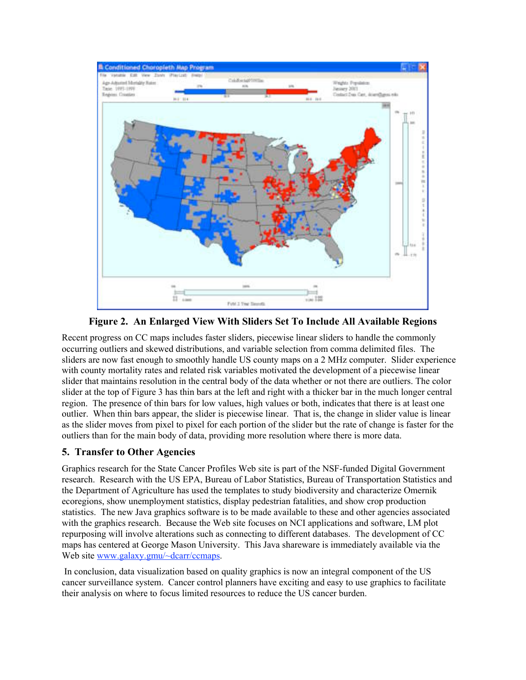

**Figure 2. An Enlarged View With Sliders Set To Include All Available Regions**

Recent progress on CC maps includes faster sliders, piecewise linear sliders to handle the commonly occurring outliers and skewed distributions, and variable selection from comma delimited files. The sliders are now fast enough to smoothly handle US county maps on a 2 MHz computer. Slider experience with county mortality rates and related risk variables motivated the development of a piecewise linear slider that maintains resolution in the central body of the data whether or not there are outliers. The color slider at the top of Figure 3 has thin bars at the left and right with a thicker bar in the much longer central region. The presence of thin bars for low values, high values or both, indicates that there is at least one outlier. When thin bars appear, the slider is piecewise linear. That is, the change in slider value is linear as the slider moves from pixel to pixel for each portion of the slider but the rate of change is faster for the outliers than for the main body of data, providing more resolution where there is more data.

## **5. Transfer to Other Agencies**

Graphics research for the State Cancer Profiles Web site is part of the NSF-funded Digital Government research. Research with the US EPA, Bureau of Labor Statistics, Bureau of Transportation Statistics and the Department of Agriculture has used the templates to study biodiversity and characterize Omernik ecoregions, show unemployment statistics, display pedestrian fatalities, and show crop production statistics. The new Java graphics software is to be made available to these and other agencies associated with the graphics research. Because the Web site focuses on NCI applications and software, LM plot repurposing will involve alterations such as connecting to different databases. The development of CC maps has centered at George Mason University. This Java shareware is immediately available via the Web site www.galaxy.gmu/~dcarr/ccmaps.

 In conclusion, data visualization based on quality graphics is now an integral component of the US cancer surveillance system. Cancer control planners have exciting and easy to use graphics to facilitate their analysis on where to focus limited resources to reduce the US cancer burden.